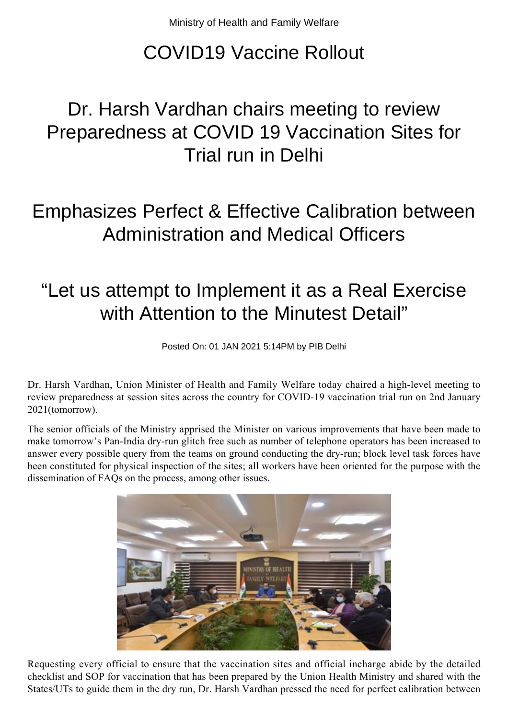## COVID19 Vaccine Rollout

## Dr. Harsh Vardhan chairs meeting to review Preparedness at COVID 19 Vaccination Sites for Trial run in Delhi

## Emphasizes Perfect & Effective Calibration between Administration and Medical Officers

## "Let us attempt to Implement it as a Real Exercise with Attention to the Minutest Detail"

Posted On: 01 JAN 2021 5:14PM by PIB Delhi

Dr. Harsh Vardhan, Union Minister of Health and Family Welfare today chaired a high-level meeting to review preparedness at session sites across the country for COVID-19 vaccination trial run on 2nd January 2021(tomorrow).

The senior officials of the Ministry apprised the Minister on various improvements that have been made to make tomorrow's Pan-India dry-run glitch free such as number of telephone operators has been increased to answer every possible query from the teams on ground conducting the dry-run; block level task forces have been constituted for physical inspection of the sites; all workers have been oriented for the purpose with the dissemination of FAQs on the process, among other issues.



Requesting every official to ensure that the vaccination sites and official incharge abide by the detailed checklist and SOP for vaccination that has been prepared by the Union Health Ministry and shared with the States/UTs to guide them in the dry run, Dr. Harsh Vardhan pressed the need for perfect calibration between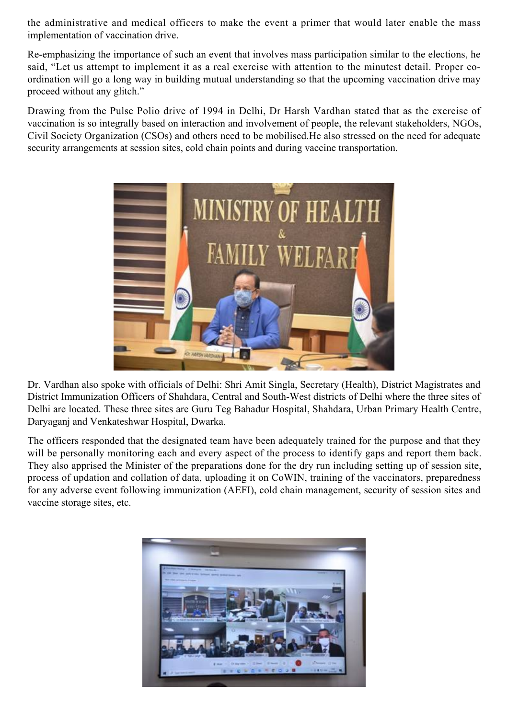the administrative and medical officers to make the event a primer that would later enable the mass implementation of vaccination drive.

Re-emphasizing the importance of such an event that involves mass participation similar to the elections, he said, "Let us attempt to implement it as a real exercise with attention to the minutest detail. Proper coordination will go a long way in building mutual understanding so that the upcoming vaccination drive may proceed without any glitch."

Drawing from the Pulse Polio drive of 1994 in Delhi, Dr Harsh Vardhan stated that as the exercise of vaccination is so integrally based on interaction and involvement of people, the relevant stakeholders, NGOs, Civil Society Organization (CSOs) and others need to be mobilised.He also stressed on the need for adequate security arrangements at session sites, cold chain points and during vaccine transportation.



Dr. Vardhan also spoke with officials of Delhi: Shri Amit Singla, Secretary (Health), District Magistrates and District Immunization Officers of Shahdara, Central and South-West districts of Delhi where the three sites of Delhi are located. These three sites are Guru Teg Bahadur Hospital, Shahdara, Urban Primary Health Centre, Daryaganj and Venkateshwar Hospital, Dwarka.

The officers responded that the designated team have been adequately trained for the purpose and that they will be personally monitoring each and every aspect of the process to identify gaps and report them back. They also apprised the Minister of the preparations done for the dry run including setting up of session site, process of updation and collation of data, uploading it on CoWIN, training of the vaccinators, preparedness for any adverse event following immunization (AEFI), cold chain management, security of session sites and vaccine storage sites, etc.